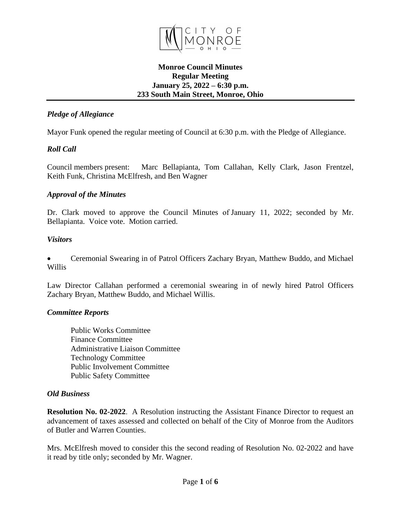

#### **Monroe Council Minutes Regular Meeting January 25, 2022 – 6:30 p.m. 233 South Main Street, Monroe, Ohio**

## *Pledge of Allegiance*

Mayor Funk opened the regular meeting of Council at 6:30 p.m. with the Pledge of Allegiance.

# *Roll Call*

Council members present: Marc Bellapianta, Tom Callahan, Kelly Clark, Jason Frentzel, Keith Funk, Christina McElfresh, and Ben Wagner

## *Approval of the Minutes*

Dr. Clark moved to approve the Council Minutes of January 11, 2022; seconded by Mr. Bellapianta. Voice vote. Motion carried.

## *Visitors*

 Ceremonial Swearing in of Patrol Officers Zachary Bryan, Matthew Buddo, and Michael Willis

Law Director Callahan performed a ceremonial swearing in of newly hired Patrol Officers Zachary Bryan, Matthew Buddo, and Michael Willis.

## *Committee Reports*

Public Works Committee Finance Committee Administrative Liaison Committee Technology Committee Public Involvement Committee Public Safety Committee

## *Old Business*

**Resolution No. 02-2022**. A Resolution instructing the Assistant Finance Director to request an advancement of taxes assessed and collected on behalf of the City of Monroe from the Auditors of Butler and Warren Counties.

Mrs. McElfresh moved to consider this the second reading of Resolution No. 02-2022 and have it read by title only; seconded by Mr. Wagner.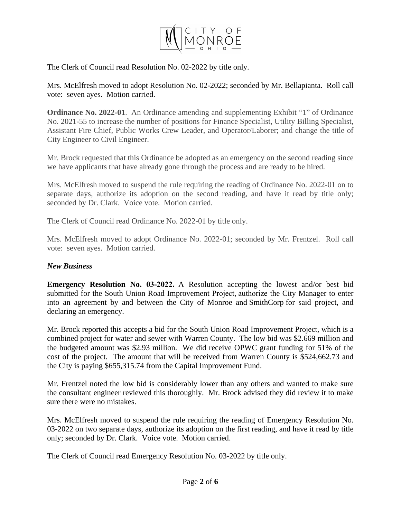

The Clerk of Council read Resolution No. 02-2022 by title only.

Mrs. McElfresh moved to adopt Resolution No. 02-2022; seconded by Mr. Bellapianta. Roll call vote: seven ayes. Motion carried.

**Ordinance No. 2022-01**. An Ordinance amending and supplementing Exhibit "1" of Ordinance No. 2021-55 to increase the number of positions for Finance Specialist, Utility Billing Specialist, Assistant Fire Chief, Public Works Crew Leader, and Operator/Laborer; and change the title of City Engineer to Civil Engineer.

Mr. Brock requested that this Ordinance be adopted as an emergency on the second reading since we have applicants that have already gone through the process and are ready to be hired.

Mrs. McElfresh moved to suspend the rule requiring the reading of Ordinance No. 2022-01 on to separate days, authorize its adoption on the second reading, and have it read by title only; seconded by Dr. Clark. Voice vote. Motion carried.

The Clerk of Council read Ordinance No. 2022-01 by title only.

Mrs. McElfresh moved to adopt Ordinance No. 2022-01; seconded by Mr. Frentzel. Roll call vote: seven ayes. Motion carried.

#### *New Business*

**Emergency Resolution No. 03-2022.** A Resolution accepting the lowest and/or best bid submitted for the South Union Road Improvement Project, authorize the City Manager to enter into an agreement by and between the City of Monroe and SmithCorp for said project, and declaring an emergency.

Mr. Brock reported this accepts a bid for the South Union Road Improvement Project, which is a combined project for water and sewer with Warren County. The low bid was \$2.669 million and the budgeted amount was \$2.93 million. We did receive OPWC grant funding for 51% of the cost of the project. The amount that will be received from Warren County is \$524,662.73 and the City is paying \$655,315.74 from the Capital Improvement Fund.

Mr. Frentzel noted the low bid is considerably lower than any others and wanted to make sure the consultant engineer reviewed this thoroughly. Mr. Brock advised they did review it to make sure there were no mistakes.

Mrs. McElfresh moved to suspend the rule requiring the reading of Emergency Resolution No. 03-2022 on two separate days, authorize its adoption on the first reading, and have it read by title only; seconded by Dr. Clark. Voice vote. Motion carried.

The Clerk of Council read Emergency Resolution No. 03-2022 by title only.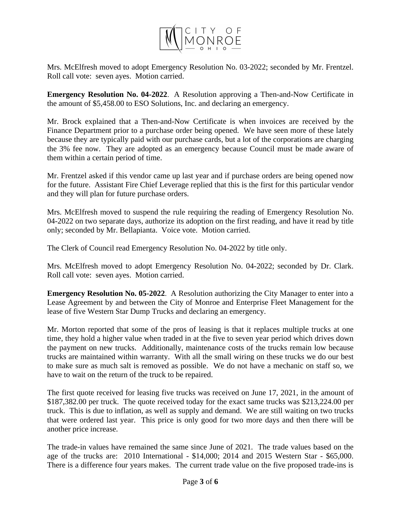

Mrs. McElfresh moved to adopt Emergency Resolution No. 03-2022; seconded by Mr. Frentzel. Roll call vote: seven ayes. Motion carried.

**Emergency Resolution No. 04-2022**. A Resolution approving a Then-and-Now Certificate in the amount of \$5,458.00 to ESO Solutions, Inc. and declaring an emergency.

Mr. Brock explained that a Then-and-Now Certificate is when invoices are received by the Finance Department prior to a purchase order being opened. We have seen more of these lately because they are typically paid with our purchase cards, but a lot of the corporations are charging the 3% fee now. They are adopted as an emergency because Council must be made aware of them within a certain period of time.

Mr. Frentzel asked if this vendor came up last year and if purchase orders are being opened now for the future. Assistant Fire Chief Leverage replied that this is the first for this particular vendor and they will plan for future purchase orders.

Mrs. McElfresh moved to suspend the rule requiring the reading of Emergency Resolution No. 04-2022 on two separate days, authorize its adoption on the first reading, and have it read by title only; seconded by Mr. Bellapianta. Voice vote. Motion carried.

The Clerk of Council read Emergency Resolution No. 04-2022 by title only.

Mrs. McElfresh moved to adopt Emergency Resolution No. 04-2022; seconded by Dr. Clark. Roll call vote: seven ayes. Motion carried.

**Emergency Resolution No. 05-2022**. A Resolution authorizing the City Manager to enter into a Lease Agreement by and between the City of Monroe and Enterprise Fleet Management for the lease of five Western Star Dump Trucks and declaring an emergency.

Mr. Morton reported that some of the pros of leasing is that it replaces multiple trucks at one time, they hold a higher value when traded in at the five to seven year period which drives down the payment on new trucks. Additionally, maintenance costs of the trucks remain low because trucks are maintained within warranty. With all the small wiring on these trucks we do our best to make sure as much salt is removed as possible. We do not have a mechanic on staff so, we have to wait on the return of the truck to be repaired.

The first quote received for leasing five trucks was received on June 17, 2021, in the amount of \$187,382.00 per truck. The quote received today for the exact same trucks was \$213,224.00 per truck. This is due to inflation, as well as supply and demand. We are still waiting on two trucks that were ordered last year. This price is only good for two more days and then there will be another price increase.

The trade-in values have remained the same since June of 2021. The trade values based on the age of the trucks are: 2010 International - \$14,000; 2014 and 2015 Western Star - \$65,000. There is a difference four years makes. The current trade value on the five proposed trade-ins is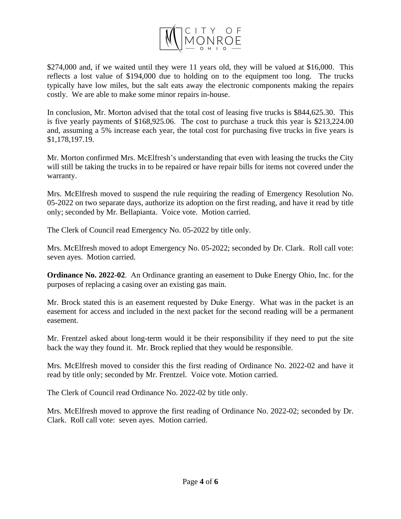

\$274,000 and, if we waited until they were 11 years old, they will be valued at \$16,000. This reflects a lost value of \$194,000 due to holding on to the equipment too long. The trucks typically have low miles, but the salt eats away the electronic components making the repairs costly. We are able to make some minor repairs in-house.

In conclusion, Mr. Morton advised that the total cost of leasing five trucks is \$844,625.30. This is five yearly payments of \$168,925.06. The cost to purchase a truck this year is \$213,224.00 and, assuming a 5% increase each year, the total cost for purchasing five trucks in five years is \$1,178,197.19.

Mr. Morton confirmed Mrs. McElfresh's understanding that even with leasing the trucks the City will still be taking the trucks in to be repaired or have repair bills for items not covered under the warranty.

Mrs. McElfresh moved to suspend the rule requiring the reading of Emergency Resolution No. 05-2022 on two separate days, authorize its adoption on the first reading, and have it read by title only; seconded by Mr. Bellapianta. Voice vote. Motion carried.

The Clerk of Council read Emergency No. 05-2022 by title only.

Mrs. McElfresh moved to adopt Emergency No. 05-2022; seconded by Dr. Clark. Roll call vote: seven ayes. Motion carried.

**Ordinance No. 2022-02**. An Ordinance granting an easement to Duke Energy Ohio, Inc. for the purposes of replacing a casing over an existing gas main.

Mr. Brock stated this is an easement requested by Duke Energy. What was in the packet is an easement for access and included in the next packet for the second reading will be a permanent easement.

Mr. Frentzel asked about long-term would it be their responsibility if they need to put the site back the way they found it. Mr. Brock replied that they would be responsible.

Mrs. McElfresh moved to consider this the first reading of Ordinance No. 2022-02 and have it read by title only; seconded by Mr. Frentzel. Voice vote. Motion carried.

The Clerk of Council read Ordinance No. 2022-02 by title only.

Mrs. McElfresh moved to approve the first reading of Ordinance No. 2022-02; seconded by Dr. Clark. Roll call vote: seven ayes. Motion carried.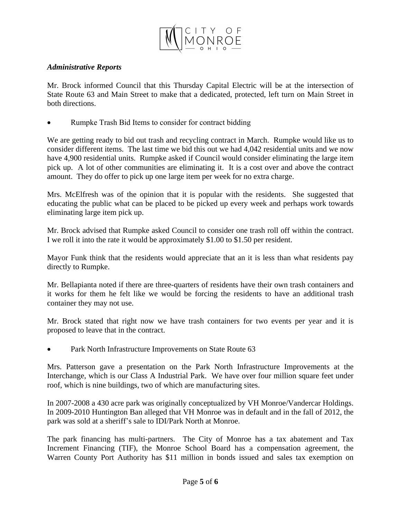

#### *Administrative Reports*

Mr. Brock informed Council that this Thursday Capital Electric will be at the intersection of State Route 63 and Main Street to make that a dedicated, protected, left turn on Main Street in both directions.

Rumpke Trash Bid Items to consider for contract bidding

We are getting ready to bid out trash and recycling contract in March. Rumpke would like us to consider different items. The last time we bid this out we had 4,042 residential units and we now have 4,900 residential units. Rumpke asked if Council would consider eliminating the large item pick up. A lot of other communities are eliminating it. It is a cost over and above the contract amount. They do offer to pick up one large item per week for no extra charge.

Mrs. McElfresh was of the opinion that it is popular with the residents. She suggested that educating the public what can be placed to be picked up every week and perhaps work towards eliminating large item pick up.

Mr. Brock advised that Rumpke asked Council to consider one trash roll off within the contract. I we roll it into the rate it would be approximately \$1.00 to \$1.50 per resident.

Mayor Funk think that the residents would appreciate that an it is less than what residents pay directly to Rumpke.

Mr. Bellapianta noted if there are three-quarters of residents have their own trash containers and it works for them he felt like we would be forcing the residents to have an additional trash container they may not use.

Mr. Brock stated that right now we have trash containers for two events per year and it is proposed to leave that in the contract.

Park North Infrastructure Improvements on State Route 63

Mrs. Patterson gave a presentation on the Park North Infrastructure Improvements at the Interchange, which is our Class A Industrial Park. We have over four million square feet under roof, which is nine buildings, two of which are manufacturing sites.

In 2007-2008 a 430 acre park was originally conceptualized by VH Monroe/Vandercar Holdings. In 2009-2010 Huntington Ban alleged that VH Monroe was in default and in the fall of 2012, the park was sold at a sheriff's sale to IDI/Park North at Monroe.

The park financing has multi-partners. The City of Monroe has a tax abatement and Tax Increment Financing (TIF), the Monroe School Board has a compensation agreement, the Warren County Port Authority has \$11 million in bonds issued and sales tax exemption on